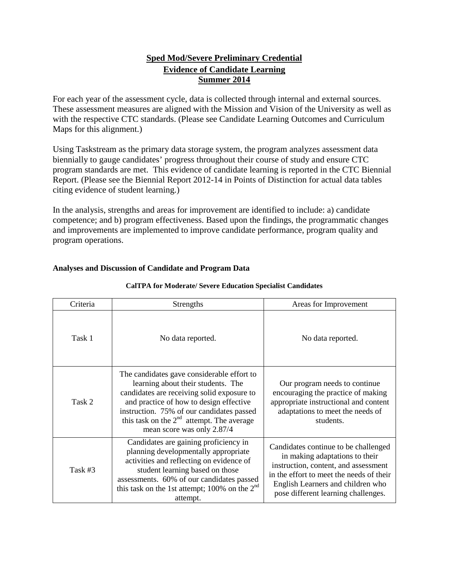#### **Sped Mod/Severe Preliminary Credential Evidence of Candidate Learning Summer 2014**

For each year of the assessment cycle, data is collected through internal and external sources. These assessment measures are aligned with the Mission and Vision of the University as well as with the respective CTC standards. (Please see Candidate Learning Outcomes and Curriculum Maps for this alignment.)

Using Taskstream as the primary data storage system, the program analyzes assessment data biennially to gauge candidates' progress throughout their course of study and ensure CTC program standards are met. This evidence of candidate learning is reported in the CTC Biennial Report. (Please see the Biennial Report 2012-14 in Points of Distinction for actual data tables citing evidence of student learning.)

In the analysis, strengths and areas for improvement are identified to include: a) candidate competence; and b) program effectiveness. Based upon the findings, the programmatic changes and improvements are implemented to improve candidate performance, program quality and program operations.

| Criteria | Strengths                                                                                                                                                                                                                                                                                           | Areas for Improvement                                                                                                                                                                                                                  |
|----------|-----------------------------------------------------------------------------------------------------------------------------------------------------------------------------------------------------------------------------------------------------------------------------------------------------|----------------------------------------------------------------------------------------------------------------------------------------------------------------------------------------------------------------------------------------|
| Task 1   | No data reported.                                                                                                                                                                                                                                                                                   | No data reported.                                                                                                                                                                                                                      |
| Task 2   | The candidates gave considerable effort to<br>learning about their students. The<br>candidates are receiving solid exposure to<br>and practice of how to design effective<br>instruction. 75% of our candidates passed<br>this task on the $2nd$ attempt. The average<br>mean score was only 2.87/4 | Our program needs to continue.<br>encouraging the practice of making<br>appropriate instructional and content<br>adaptations to meet the needs of<br>students.                                                                         |
| Task #3  | Candidates are gaining proficiency in<br>planning developmentally appropriate<br>activities and reflecting on evidence of<br>student learning based on those<br>assessments. 60% of our candidates passed<br>this task on the 1st attempt; 100% on the $2nd$<br>attempt.                            | Candidates continue to be challenged<br>in making adaptations to their<br>instruction, content, and assessment<br>in the effort to meet the needs of their<br>English Learners and children who<br>pose different learning challenges. |

### **CalTPA for Moderate/ Severe Education Specialist Candidates**

**Analyses and Discussion of Candidate and Program Data**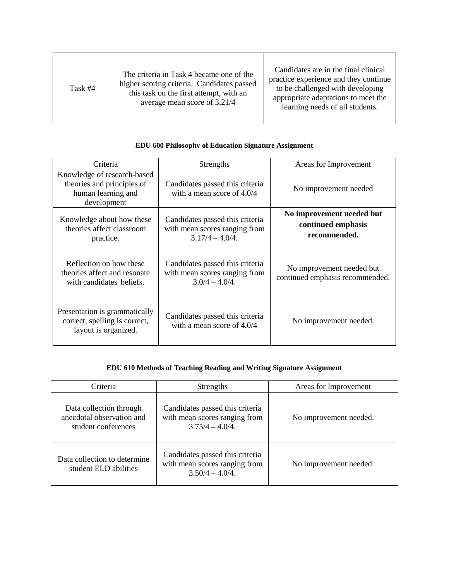| Task #4 | The criteria in Task 4 became one of the<br>higher scoring criteria. Candidates passed<br>this task on the first attempt, with an<br>average mean score of 3.21/4 | Candidates are in the final clinical<br>practice experience and they continue<br>to be challenged with developing<br>appropriate adaptations to meet the<br>learning needs of all students. |
|---------|-------------------------------------------------------------------------------------------------------------------------------------------------------------------|---------------------------------------------------------------------------------------------------------------------------------------------------------------------------------------------|
|---------|-------------------------------------------------------------------------------------------------------------------------------------------------------------------|---------------------------------------------------------------------------------------------------------------------------------------------------------------------------------------------|

#### **EDU 600 Philosophy of Education Signature Assignment**

| Criteria                                                                                       | Strengths                                                                             | Areas for Improvement                                           |
|------------------------------------------------------------------------------------------------|---------------------------------------------------------------------------------------|-----------------------------------------------------------------|
| Knowledge of research-based<br>theories and principles of<br>human learning and<br>development | Candidates passed this criteria<br>with a mean score of 4.0/4                         | No improvement needed                                           |
| Knowledge about how these<br>theories affect classroom<br>practice.                            | Candidates passed this criteria<br>with mean scores ranging from<br>$3.17/4 - 4.0/4.$ | No improvement needed but<br>continued emphasis<br>recommended. |
| Reflection on how these<br>theories affect and resonate<br>with candidates' beliefs.           | Candidates passed this criteria<br>with mean scores ranging from<br>$3.0/4 - 4.0/4$ . | No improvement needed but<br>continued emphasis recommended.    |
| Presentation is grammatically<br>correct, spelling is correct,<br>layout is organized.         | Candidates passed this criteria<br>with a mean score of $4.0/4$                       | No improvement needed.                                          |

### **EDU 610 Methods of Teaching Reading and Writing Signature Assignment**

| Criteria                                                                    | <b>Strengths</b>                                                                       | Areas for Improvement  |
|-----------------------------------------------------------------------------|----------------------------------------------------------------------------------------|------------------------|
| Data collection through<br>anecdotal observation and<br>student conferences | Candidates passed this criteria<br>with mean scores ranging from<br>$3.75/4 - 4.0/4$   | No improvement needed. |
| Data collection to determine<br>student ELD abilities                       | Candidates passed this criteria<br>with mean scores ranging from<br>$3.50/4 - 4.0/4$ . | No improvement needed. |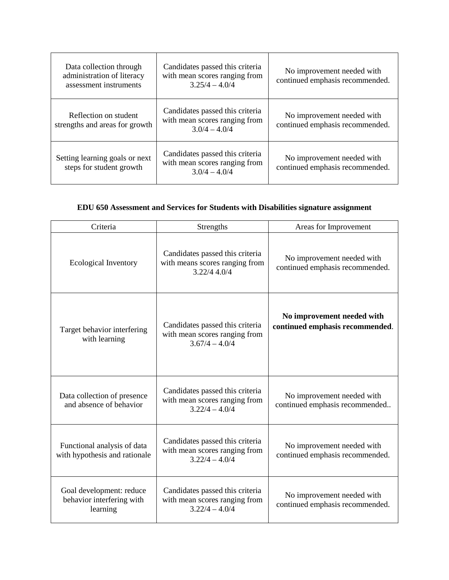| Data collection through<br>administration of literacy<br>assessment instruments | Candidates passed this criteria<br>with mean scores ranging from<br>$3.25/4 - 4.0/4$ | No improvement needed with<br>continued emphasis recommended. |
|---------------------------------------------------------------------------------|--------------------------------------------------------------------------------------|---------------------------------------------------------------|
| Reflection on student<br>strengths and areas for growth                         | Candidates passed this criteria<br>with mean scores ranging from<br>$3.0/4 - 4.0/4$  | No improvement needed with<br>continued emphasis recommended. |
| Setting learning goals or next<br>steps for student growth                      | Candidates passed this criteria<br>with mean scores ranging from<br>$3.0/4 - 4.0/4$  | No improvement needed with<br>continued emphasis recommended. |

# **EDU 650 Assessment and Services for Students with Disabilities signature assignment**

| Criteria                                                          | Strengths                                                                            | Areas for Improvement                                         |
|-------------------------------------------------------------------|--------------------------------------------------------------------------------------|---------------------------------------------------------------|
| <b>Ecological Inventory</b>                                       | Candidates passed this criteria<br>with means scores ranging from<br>3.22/4 4.0/4    | No improvement needed with<br>continued emphasis recommended. |
| Target behavior interfering<br>with learning                      | Candidates passed this criteria<br>with mean scores ranging from<br>$3.67/4 - 4.0/4$ | No improvement needed with<br>continued emphasis recommended. |
| Data collection of presence<br>and absence of behavior            | Candidates passed this criteria<br>with mean scores ranging from<br>$3.22/4 - 4.0/4$ | No improvement needed with<br>continued emphasis recommended  |
| Functional analysis of data<br>with hypothesis and rationale      | Candidates passed this criteria<br>with mean scores ranging from<br>$3.22/4 - 4.0/4$ | No improvement needed with<br>continued emphasis recommended. |
| Goal development: reduce<br>behavior interfering with<br>learning | Candidates passed this criteria<br>with mean scores ranging from<br>$3.22/4 - 4.0/4$ | No improvement needed with<br>continued emphasis recommended. |